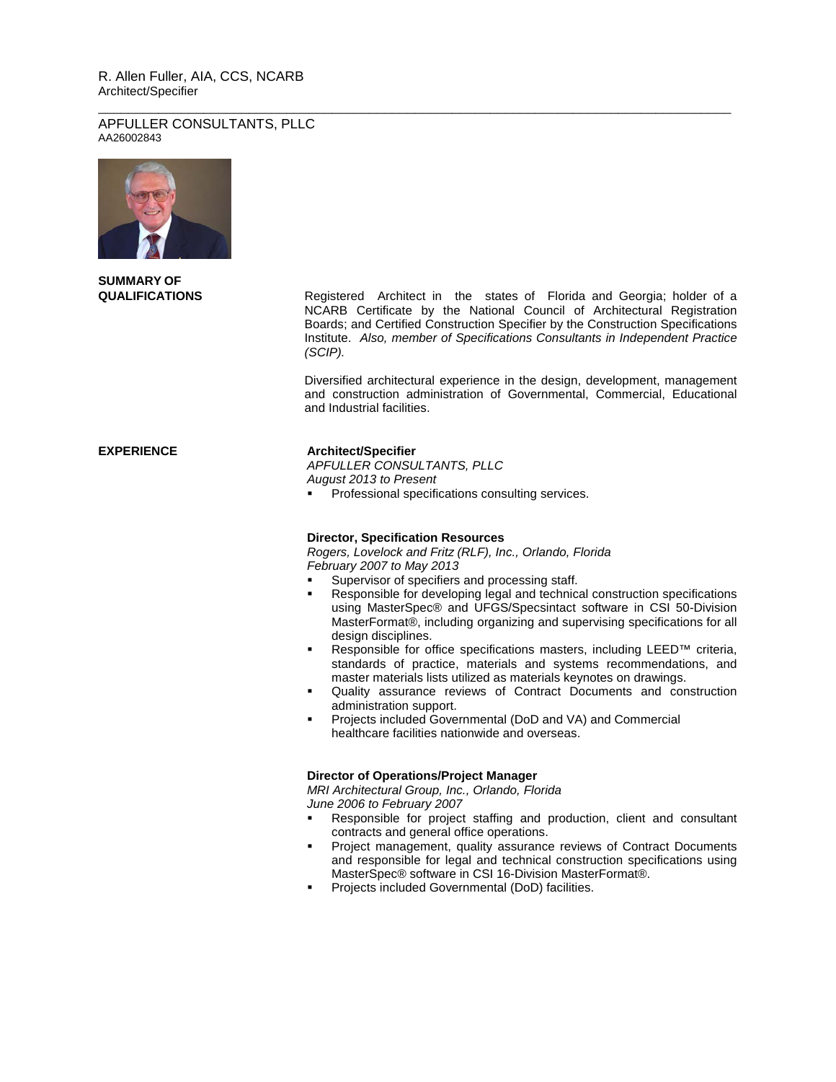## R. Allen Fuller, AIA, CCS, NCARB Architect/Specifier

### APFULLER CONSULTANTS, PLLC AA26002843



**SUMMARY OF**

**QUALIFICATIONS** Registered Architect in the states of Florida and Georgia; holder of a NCARB Certificate by the National Council of Architectural Registration Boards; and Certified Construction Specifier by the Construction Specifications Institute. *Also, member of Specifications Consultants in Independent Practice (SCIP).*

> Diversified architectural experience in the design, development, management and construction administration of Governmental, Commercial, Educational and Industrial facilities.

# **EXPERIENCE Architect/Specifier**

*APFULLER CONSULTANTS, PLLC August 2013 to Present*

\_\_\_\_\_\_\_\_\_\_\_\_\_\_\_\_\_\_\_\_\_\_\_\_\_\_\_\_\_\_\_\_\_\_\_\_\_\_\_\_\_\_\_\_\_\_\_\_\_\_\_\_\_\_\_\_\_\_\_\_\_\_\_\_\_\_\_\_\_\_\_\_\_\_\_\_\_\_\_\_\_\_\_\_

**Professional specifications consulting services.** 

## **Director, Specification Resources**

*Rogers, Lovelock and Fritz (RLF), Inc., Orlando, Florida February 2007 to May 2013*

- Supervisor of specifiers and processing staff.
- Responsible for developing legal and technical construction specifications using MasterSpec® and UFGS/Specsintact software in CSI 50-Division MasterFormat®, including organizing and supervising specifications for all design disciplines.
- Responsible for office specifications masters, including LEED™ criteria, standards of practice, materials and systems recommendations, and master materials lists utilized as materials keynotes on drawings.
- Quality assurance reviews of Contract Documents and construction administration support.
- Projects included Governmental (DoD and VA) and Commercial healthcare facilities nationwide and overseas.

## **Director of Operations/Project Manager**

*MRI Architectural Group, Inc., Orlando, Florida June 2006 to February 2007*

- Responsible for project staffing and production, client and consultant contracts and general office operations.
- **Project management, quality assurance reviews of Contract Documents** and responsible for legal and technical construction specifications using MasterSpec® software in CSI 16-Division MasterFormat®.
- **Projects included Governmental (DoD) facilities.**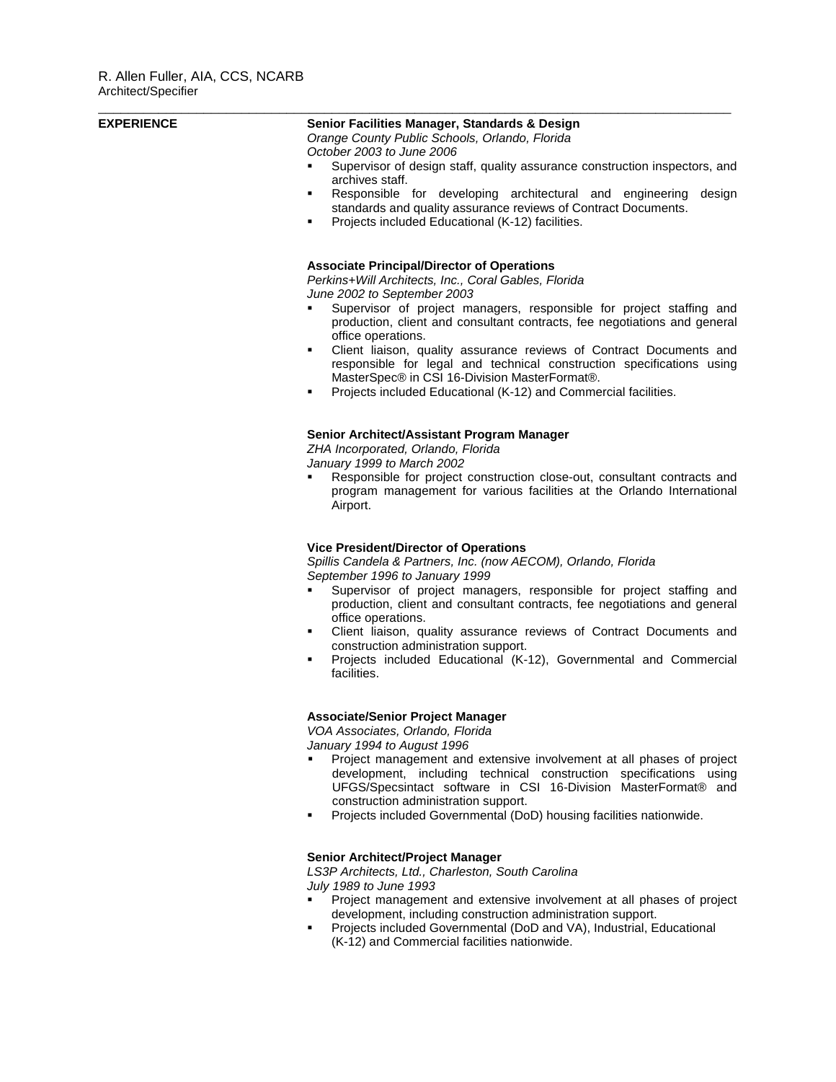| <b>EXPERIENCE</b> | Senior Facilities Manager, Standards & Design<br>Orange County Public Schools, Orlando, Florida<br>October 2003 to June 2006<br>Supervisor of design staff, quality assurance construction inspectors, and<br>archives staff.<br>Responsible for developing architectural and engineering<br>design<br>٠<br>standards and quality assurance reviews of Contract Documents.<br>Projects included Educational (K-12) facilities.<br>٠                                                                                                                                                               |
|-------------------|---------------------------------------------------------------------------------------------------------------------------------------------------------------------------------------------------------------------------------------------------------------------------------------------------------------------------------------------------------------------------------------------------------------------------------------------------------------------------------------------------------------------------------------------------------------------------------------------------|
|                   | <b>Associate Principal/Director of Operations</b><br>Perkins+Will Architects, Inc., Coral Gables, Florida<br>June 2002 to September 2003<br>Supervisor of project managers, responsible for project staffing and<br>production, client and consultant contracts, fee negotiations and general<br>office operations.<br>Client liaison, quality assurance reviews of Contract Documents and<br>٠<br>responsible for legal and technical construction specifications using<br>MasterSpec® in CSI 16-Division MasterFormat®.<br>Projects included Educational (K-12) and Commercial facilities.<br>٠ |
|                   | Senior Architect/Assistant Program Manager<br>ZHA Incorporated, Orlando, Florida<br>January 1999 to March 2002<br>Responsible for project construction close-out, consultant contracts and<br>program management for various facilities at the Orlando International<br>Airport.                                                                                                                                                                                                                                                                                                                  |
|                   | <b>Vice President/Director of Operations</b><br>Spillis Candela & Partners, Inc. (now AECOM), Orlando, Florida<br>September 1996 to January 1999<br>Supervisor of project managers, responsible for project staffing and<br>production, client and consultant contracts, fee negotiations and general<br>office operations.<br>Client liaison, quality assurance reviews of Contract Documents and<br>٠<br>construction administration support.<br>Projects included Educational (K-12), Governmental and Commercial<br>٠<br>facilities.                                                          |
|                   | <b>Associate/Senior Project Manager</b><br>VOA Associates, Orlando, Florida<br>January 1994 to August 1996<br>Project management and extensive involvement at all phases of project<br>development, including technical construction specifications using<br>UFGS/Specsintact software in CSI 16-Division MasterFormat® and<br>construction administration support.<br>Projects included Governmental (DoD) housing facilities nationwide.<br>$\blacksquare$                                                                                                                                      |
|                   | Senior Architect/Project Manager<br>LS3P Architects, Ltd., Charleston, South Carolina<br>July 1989 to June 1993<br>Project management and extensive involvement at all phases of project<br>development, including construction administration support.<br>Projects included Governmental (DoD and VA), Industrial, Educational<br>٠<br>(K-12) and Commercial facilities nationwide.                                                                                                                                                                                                              |
|                   |                                                                                                                                                                                                                                                                                                                                                                                                                                                                                                                                                                                                   |

\_\_\_\_\_\_\_\_\_\_\_\_\_\_\_\_\_\_\_\_\_\_\_\_\_\_\_\_\_\_\_\_\_\_\_\_\_\_\_\_\_\_\_\_\_\_\_\_\_\_\_\_\_\_\_\_\_\_\_\_\_\_\_\_\_\_\_\_\_\_\_\_\_\_\_\_\_\_\_\_\_\_\_\_